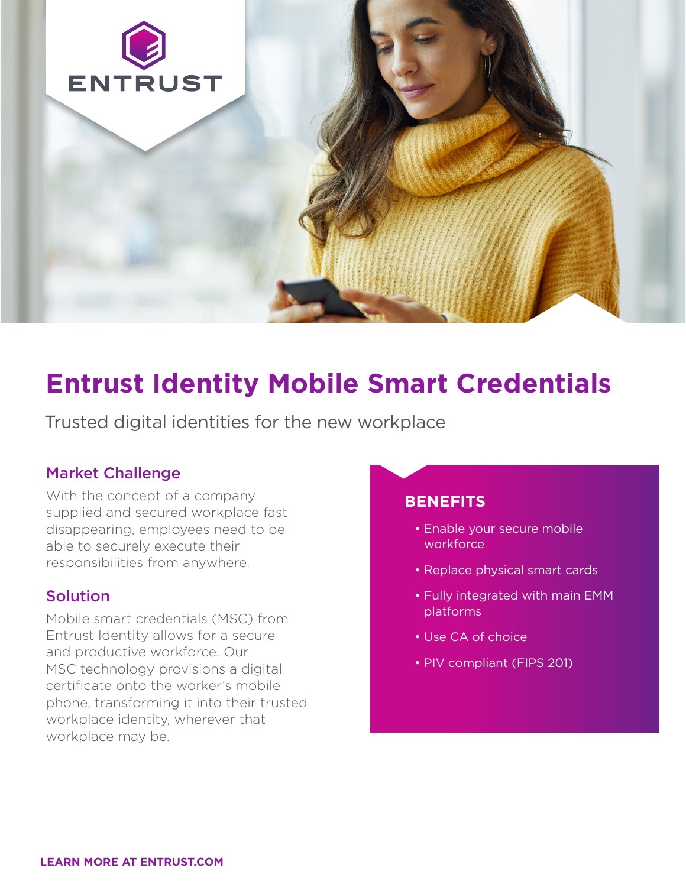

# **Entrust Identity Mobile Smart Credentials**

Trusted digital identities for the new workplace

## Market Challenge

With the concept of a company supplied and secured workplace fast disappearing, employees need to be able to securely execute their responsibilities from anywhere.

# Solution

Mobile smart credentials (MSC) from Entrust Identity allows for a secure and productive workforce. Our MSC technology provisions a digital certificate onto the worker's mobile phone, transforming it into their trusted workplace identity, wherever that workplace may be.

# **BENEFITS**

- Enable your secure mobile workforce
- Replace physical smart cards
- Fully integrated with main EMM platforms
- Use CA of choice
- PIV compliant (FIPS 201)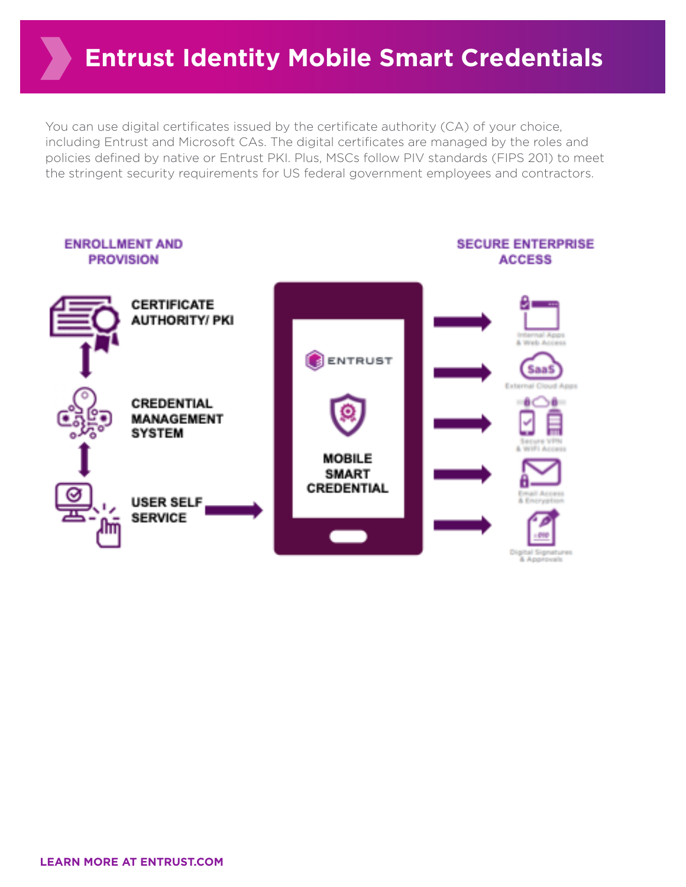# **Entrust Identity Mobile Smart Credentials**

You can use digital certificates issued by the certificate authority (CA) of your choice, including Entrust and Microsoft CAs. The digital certificates are managed by the roles and policies defined by native or Entrust PKI. Plus, MSCs follow PIV standards (FIPS 201) to meet the stringent security requirements for US federal government employees and contractors.



**LEARN MORE AT ENTRUST.COM**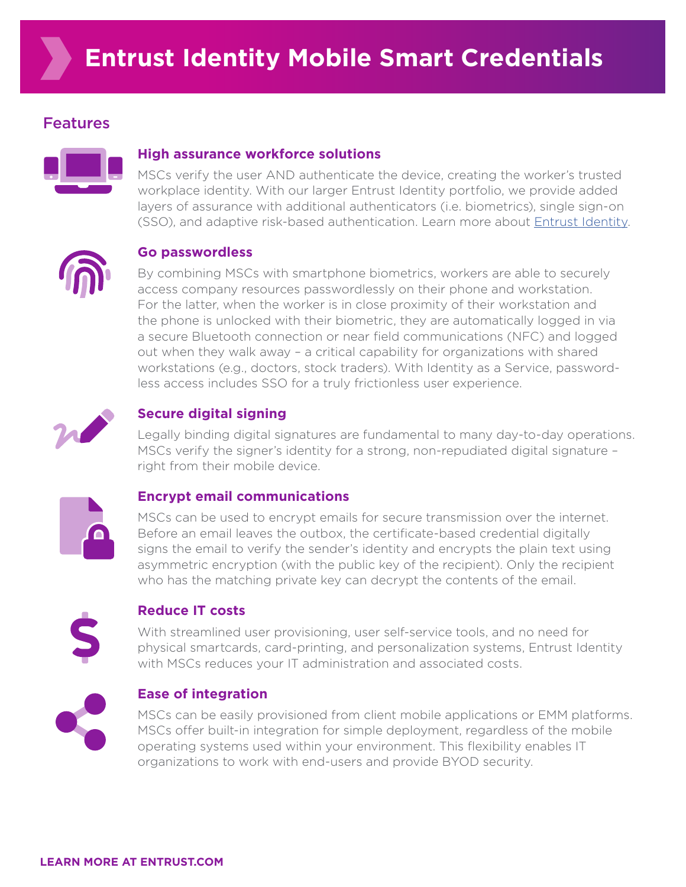# Features



#### **High assurance workforce solutions**

MSCs verify the user AND authenticate the device, creating the worker's trusted workplace identity. With our larger Entrust Identity portfolio, we provide added layers of assurance with additional authenticators (i.e. biometrics), single sign-on (SSO), and adaptive risk-based authentication. Learn more about [Entrust Identity](https://www.entrust.com/-/media/documentation/brochures/entrust-identity-br.pdf).



#### **Go passwordless**

By combining MSCs with smartphone biometrics, workers are able to securely access company resources passwordlessly on their phone and workstation. For the latter, when the worker is in close proximity of their workstation and the phone is unlocked with their biometric, they are automatically logged in via a secure Bluetooth connection or near field communications (NFC) and logged out when they walk away – a critical capability for organizations with shared workstations (e.g., doctors, stock traders). With Identity as a Service, passwordless access includes SSO for a truly frictionless user experience.



### **Secure digital signing**

Legally binding digital signatures are fundamental to many day-to-day operations. MSCs verify the signer's identity for a strong, non-repudiated digital signature – right from their mobile device.



#### **Encrypt email communications**

MSCs can be used to encrypt emails for secure transmission over the internet. Before an email leaves the outbox, the certificate-based credential digitally signs the email to verify the sender's identity and encrypts the plain text using asymmetric encryption (with the public key of the recipient). Only the recipient who has the matching private key can decrypt the contents of the email.



#### **Reduce IT costs**

With streamlined user provisioning, user self-service tools, and no need for physical smartcards, card-printing, and personalization systems, Entrust Identity with MSCs reduces your IT administration and associated costs.



### **Ease of integration**

MSCs can be easily provisioned from client mobile applications or EMM platforms. MSCs offer built-in integration for simple deployment, regardless of the mobile operating systems used within your environment. This flexibility enables IT organizations to work with end-users and provide BYOD security.